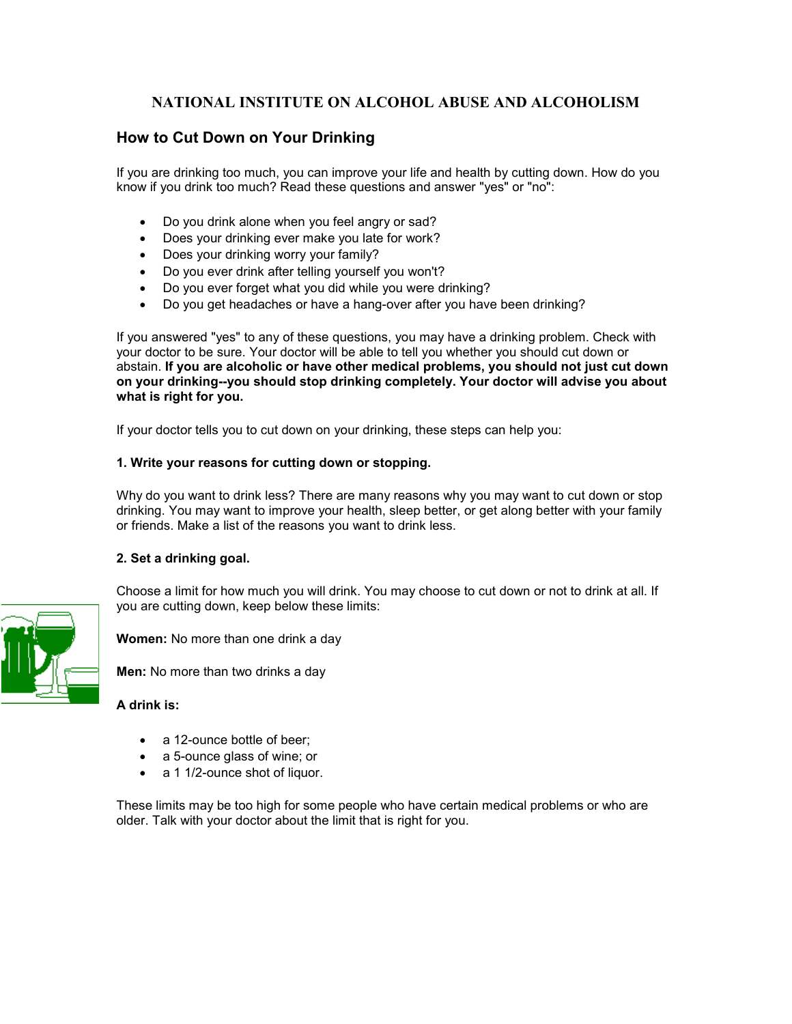# **NATIONAL INSTITUTE ON ALCOHOL ABUSE AND ALCOHOLISM**

# **How to Cut Down on Your Drinking**

If you are drinking too much, you can improve your life and health by cutting down. How do you know if you drink too much? Read these questions and answer "yes" or "no":

- Do you drink alone when you feel angry or sad?
- Does your drinking ever make you late for work?
- Does your drinking worry your family?
- Do you ever drink after telling yourself you won't?
- Do you ever forget what you did while you were drinking?
- Do you get headaches or have a hang-over after you have been drinking?

If you answered "yes" to any of these questions, you may have a drinking problem. Check with your doctor to be sure. Your doctor will be able to tell you whether you should cut down or abstain. **If you are alcoholic or have other medical problems, you should not just cut down on your drinking--you should stop drinking completely. Your doctor will advise you about what is right for you.**

If your doctor tells you to cut down on your drinking, these steps can help you:

# **1. Write your reasons for cutting down or stopping.**

Why do you want to drink less? There are many reasons why you may want to cut down or stop drinking. You may want to improve your health, sleep better, or get along better with your family or friends. Make a list of the reasons you want to drink less.

# **2. Set a drinking goal.**

Choose a limit for how much you will drink. You may choose to cut down or not to drink at all. If you are cutting down, keep below these limits:



**Women:** No more than one drink a day

**Men:** No more than two drinks a day

#### **A drink is:**

- a 12-ounce bottle of beer;
- a 5-ounce glass of wine; or
- a 1 1/2-ounce shot of liquor.

These limits may be too high for some people who have certain medical problems or who are older. Talk with your doctor about the limit that is right for you.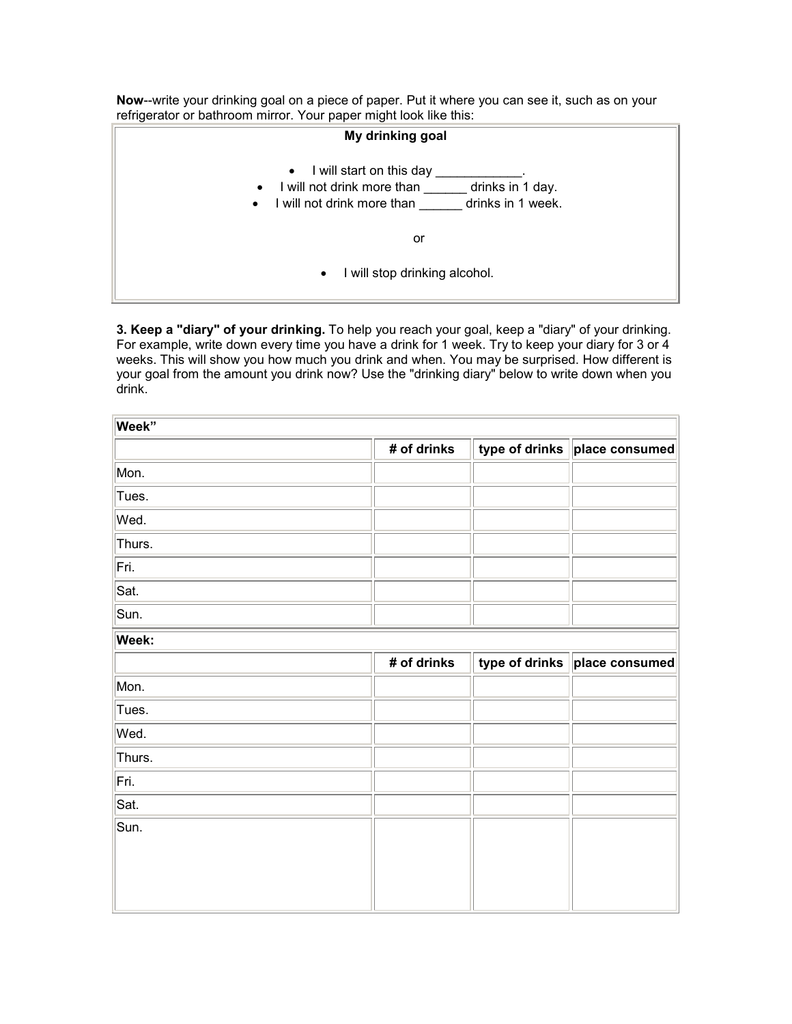**Now**--write your drinking goal on a piece of paper. Put it where you can see it, such as on your refrigerator or bathroom mirror. Your paper might look like this:

| My drinking goal                                                                                                                                          |
|-----------------------------------------------------------------------------------------------------------------------------------------------------------|
| • I will start on this day<br>drinks in 1 day.<br>I will not drink more than<br>$\bullet$<br>drinks in 1 week.<br>I will not drink more than<br>$\bullet$ |
| or                                                                                                                                                        |
| I will stop drinking alcohol.<br>$\bullet$                                                                                                                |

**3. Keep a "diary" of your drinking.** To help you reach your goal, keep a "diary" of your drinking. For example, write down every time you have a drink for 1 week. Try to keep your diary for 3 or 4 weeks. This will show you how much you drink and when. You may be surprised. How different is your goal from the amount you drink now? Use the "drinking diary" below to write down when you drink.

| Week"  |             |  |                                 |  |
|--------|-------------|--|---------------------------------|--|
|        | # of drinks |  | type of drinks   place consumed |  |
| Mon.   |             |  |                                 |  |
| Tues.  |             |  |                                 |  |
| Wed.   |             |  |                                 |  |
| Thurs. |             |  |                                 |  |
| Fri.   |             |  |                                 |  |
| Sat.   |             |  |                                 |  |
| Sun.   |             |  |                                 |  |
| Week:  |             |  |                                 |  |
|        | # of drinks |  | type of drinks   place consumed |  |
| Mon.   |             |  |                                 |  |
| Tues.  |             |  |                                 |  |
| Wed.   |             |  |                                 |  |
| Thurs. |             |  |                                 |  |
| Fri.   |             |  |                                 |  |
| Sat.   |             |  |                                 |  |
| Sun.   |             |  |                                 |  |
|        |             |  |                                 |  |
|        |             |  |                                 |  |
|        |             |  |                                 |  |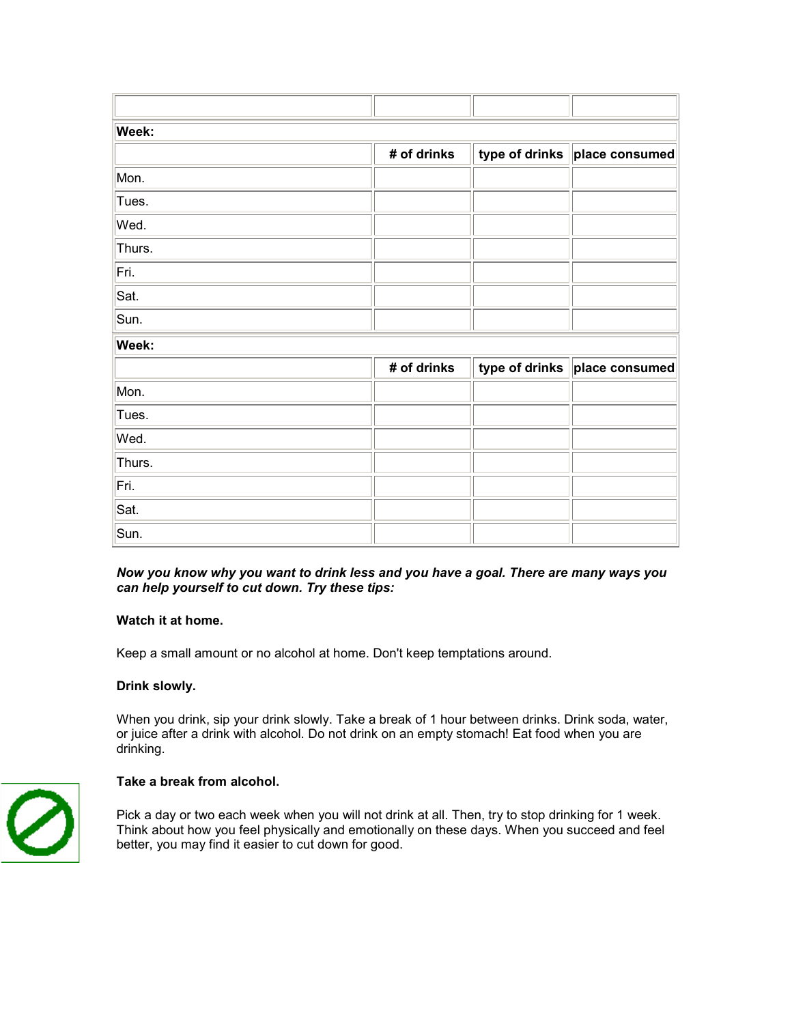| Week:  |             |                |                          |  |  |
|--------|-------------|----------------|--------------------------|--|--|
|        | # of drinks | type of drinks | place consumed           |  |  |
| Mon.   |             |                |                          |  |  |
| Tues.  |             |                |                          |  |  |
| Wed.   |             |                |                          |  |  |
| Thurs. |             |                |                          |  |  |
| Fri.   |             |                |                          |  |  |
| Sat.   |             |                |                          |  |  |
| Sun.   |             |                |                          |  |  |
| Week:  |             |                |                          |  |  |
|        | # of drinks | type of drinks | $\left\ $ place consumed |  |  |
| Mon.   |             |                |                          |  |  |
| Tues.  |             |                |                          |  |  |
| Wed.   |             |                |                          |  |  |
| Thurs. |             |                |                          |  |  |
| Fri.   |             |                |                          |  |  |
| Sat.   |             |                |                          |  |  |
| Sun.   |             |                |                          |  |  |

*Now you know why you want to drink less and you have a goal. There are many ways you can help yourself to cut down. Try these tips:*

# **Watch it at home.**

Keep a small amount or no alcohol at home. Don't keep temptations around.

#### **Drink slowly.**

When you drink, sip your drink slowly. Take a break of 1 hour between drinks. Drink soda, water, or juice after a drink with alcohol. Do not drink on an empty stomach! Eat food when you are drinking.



# **Take a break from alcohol.**

Pick a day or two each week when you will not drink at all. Then, try to stop drinking for 1 week. Think about how you feel physically and emotionally on these days. When you succeed and feel better, you may find it easier to cut down for good.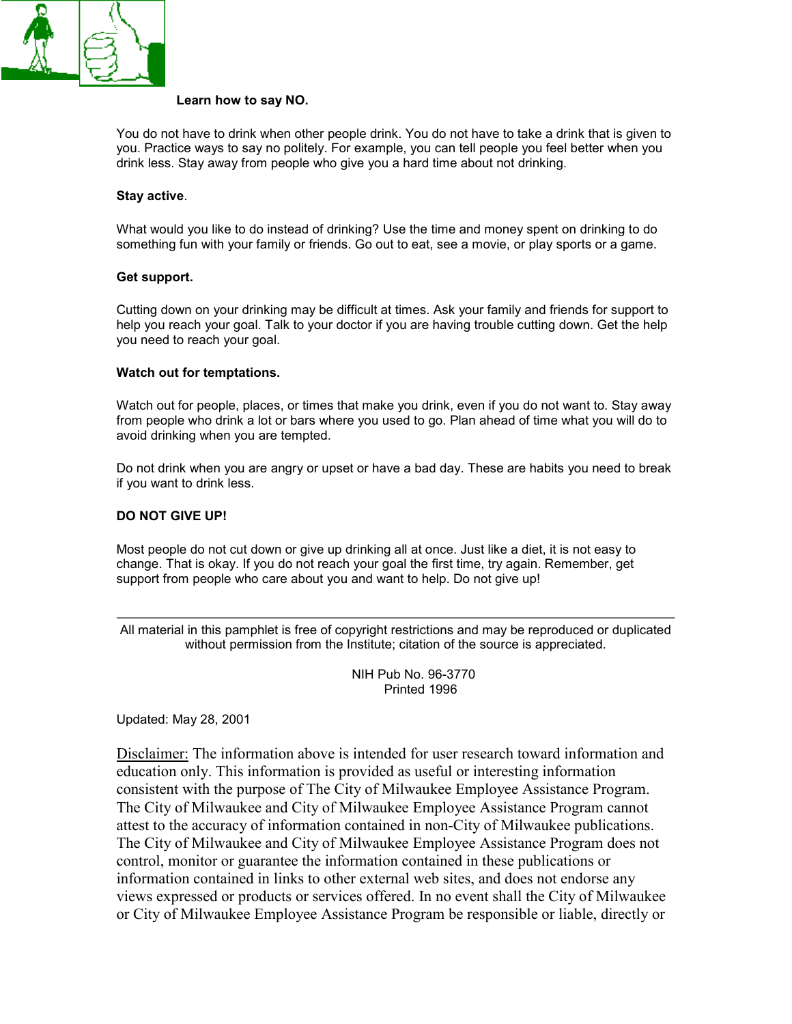

# **Learn how to say NO.**

You do not have to drink when other people drink. You do not have to take a drink that is given to you. Practice ways to say no politely. For example, you can tell people you feel better when you drink less. Stay away from people who give you a hard time about not drinking.

# **Stay active**.

What would you like to do instead of drinking? Use the time and money spent on drinking to do something fun with your family or friends. Go out to eat, see a movie, or play sports or a game.

# **Get support.**

Cutting down on your drinking may be difficult at times. Ask your family and friends for support to help you reach your goal. Talk to your doctor if you are having trouble cutting down. Get the help you need to reach your goal.

# **Watch out for temptations.**

Watch out for people, places, or times that make you drink, even if you do not want to. Stay away from people who drink a lot or bars where you used to go. Plan ahead of time what you will do to avoid drinking when you are tempted.

Do not drink when you are angry or upset or have a bad day. These are habits you need to break if you want to drink less.

# **DO NOT GIVE UP!**

Most people do not cut down or give up drinking all at once. Just like a diet, it is not easy to change. That is okay. If you do not reach your goal the first time, try again. Remember, get support from people who care about you and want to help. Do not give up!

All material in this pamphlet is free of copyright restrictions and may be reproduced or duplicated without permission from the Institute; citation of the source is appreciated.

> NIH Pub No. 96-3770 Printed 1996

Updated: May 28, 2001

Disclaimer: The information above is intended for user research toward information and education only. This information is provided as useful or interesting information consistent with the purpose of The City of Milwaukee Employee Assistance Program. The City of Milwaukee and City of Milwaukee Employee Assistance Program cannot attest to the accuracy of information contained in non-City of Milwaukee publications. The City of Milwaukee and City of Milwaukee Employee Assistance Program does not control, monitor or guarantee the information contained in these publications or information contained in links to other external web sites, and does not endorse any views expressed or products or services offered. In no event shall the City of Milwaukee or City of Milwaukee Employee Assistance Program be responsible or liable, directly or